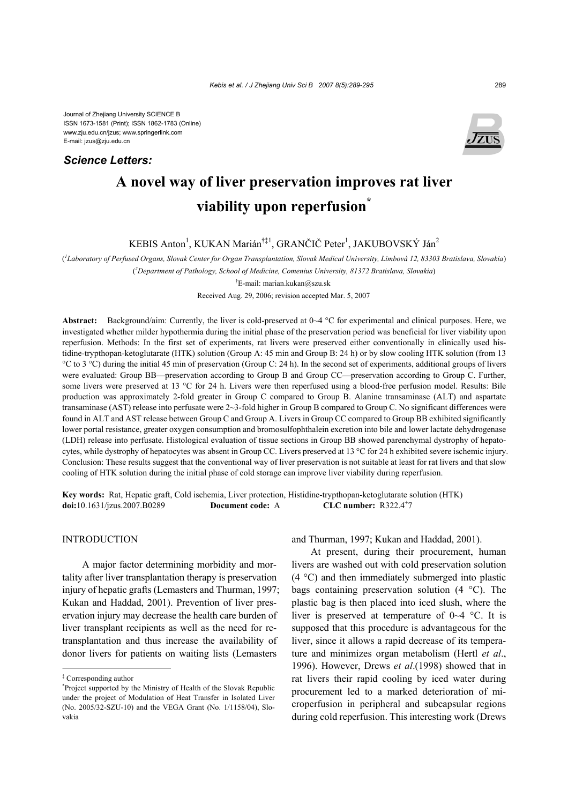Journal of Zhejiang University SCIENCE B ISSN 1673-1581 (Print); ISSN 1862-1783 (Online) www.zju.edu.cn/jzus; www.springerlink.com E-mail: jzus@zju.edu.cn

# *Science Letters:*



# **A novel way of liver preservation improves rat liver viability upon reperfusion\***

KEBIS Anton<sup>1</sup>, KUKAN Marián<sup>†‡1</sup>, GRANČIČ Peter<sup>1</sup>, JAKUBOVSKÝ Ján<sup>2</sup>

( *1 Laboratory of Perfused Organs, Slovak Center for Organ Transplantation, Slovak Medical University, Limbová 12, 83303 Bratislava, Slovakia*) ( *2 Department of Pathology, School of Medicine, Comenius University, 81372 Bratislava, Slovakia*)

† E-mail: marian.kukan@szu.sk

Received Aug. 29, 2006; revision accepted Mar. 5, 2007

**Abstract:** Background/aim: Currently, the liver is cold-preserved at 0~4 °C for experimental and clinical purposes. Here, we investigated whether milder hypothermia during the initial phase of the preservation period was beneficial for liver viability upon reperfusion. Methods: In the first set of experiments, rat livers were preserved either conventionally in clinically used histidine-trypthopan-ketoglutarate (HTK) solution (Group A: 45 min and Group B: 24 h) or by slow cooling HTK solution (from 13 °C to 3 °C) during the initial 45 min of preservation (Group C: 24 h). In the second set of experiments, additional groups of livers were evaluated: Group BB—preservation according to Group B and Group CC—preservation according to Group C. Further, some livers were preserved at 13 °C for 24 h. Livers were then reperfused using a blood-free perfusion model. Results: Bile production was approximately 2-fold greater in Group C compared to Group B. Alanine transaminase (ALT) and aspartate transaminase (AST) release into perfusate were 2~3-fold higher in Group B compared to Group C. No significant differences were found in ALT and AST release between Group C and Group A. Livers in Group CC compared to Group BB exhibited significantly lower portal resistance, greater oxygen consumption and bromosulfophthalein excretion into bile and lower lactate dehydrogenase (LDH) release into perfusate. Histological evaluation of tissue sections in Group BB showed parenchymal dystrophy of hepatocytes, while dystrophy of hepatocytes was absent in Group CC. Livers preserved at 13 °C for 24 h exhibited severe ischemic injury. Conclusion: These results suggest that the conventional way of liver preservation is not suitable at least for rat livers and that slow cooling of HTK solution during the initial phase of cold storage can improve liver viability during reperfusion.

**Key words:** Rat, Hepatic graft, Cold ischemia, Liver protection, Histidine-trypthopan-ketoglutarate solution (HTK) **doi:**10.1631/jzus.2007.B0289 **Document code:** A CLC number: R322.4+7

# INTRODUCTION

A major factor determining morbidity and mortality after liver transplantation therapy is preservation injury of hepatic grafts (Lemasters and Thurman, 1997; Kukan and Haddad, 2001). Prevention of liver preservation injury may decrease the health care burden of liver transplant recipients as well as the need for retransplantation and thus increase the availability of donor livers for patients on waiting lists (Lemasters

and Thurman, 1997; Kukan and Haddad, 2001).

At present, during their procurement, human livers are washed out with cold preservation solution (4 °C) and then immediately submerged into plastic bags containing preservation solution (4 °C). The plastic bag is then placed into iced slush, where the liver is preserved at temperature of 0~4 °C. It is supposed that this procedure is advantageous for the liver, since it allows a rapid decrease of its temperature and minimizes organ metabolism (Hertl *et al*., 1996). However, Drews *et al*.(1998) showed that in rat livers their rapid cooling by iced water during procurement led to a marked deterioration of microperfusion in peripheral and subcapsular regions during cold reperfusion. This interesting work (Drews

<sup>‡</sup> Corresponding author

<sup>\*</sup> Project supported by the Ministry of Health of the Slovak Republic under the project of Modulation of Heat Transfer in Isolated Liver (No. 2005/32-SZU-10) and the VEGA Grant (No. 1/1158/04), Slovakia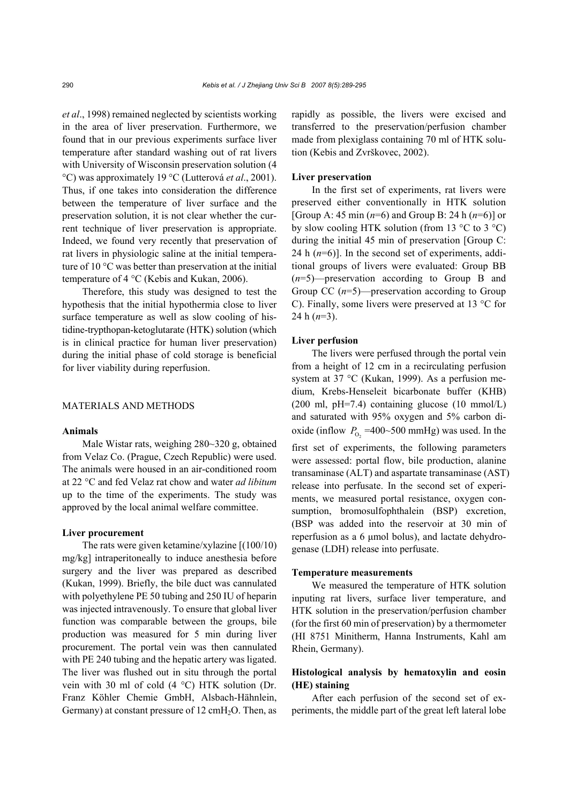*et al*., 1998) remained neglected by scientists working in the area of liver preservation. Furthermore, we found that in our previous experiments surface liver temperature after standard washing out of rat livers with University of Wisconsin preservation solution (4 °C) was approximately 19 °C (Lutterová *et al*., 2001). Thus, if one takes into consideration the difference between the temperature of liver surface and the preservation solution, it is not clear whether the current technique of liver preservation is appropriate. Indeed, we found very recently that preservation of rat livers in physiologic saline at the initial temperature of 10 °C was better than preservation at the initial temperature of 4 °C (Kebis and Kukan, 2006).

Therefore, this study was designed to test the hypothesis that the initial hypothermia close to liver surface temperature as well as slow cooling of histidine-trypthopan-ketoglutarate (HTK) solution (which is in clinical practice for human liver preservation) during the initial phase of cold storage is beneficial for liver viability during reperfusion.

# MATERIALS AND METHODS

#### **Animals**

Male Wistar rats, weighing 280~320 g, obtained from Velaz Co. (Prague, Czech Republic) were used. The animals were housed in an air-conditioned room at 22 °C and fed Velaz rat chow and water *ad libitum* up to the time of the experiments. The study was approved by the local animal welfare committee.

#### **Liver procurement**

The rats were given ketamine/xylazine [(100/10) mg/kg] intraperitoneally to induce anesthesia before surgery and the liver was prepared as described (Kukan, 1999). Briefly, the bile duct was cannulated with polyethylene PE 50 tubing and 250 IU of heparin was injected intravenously. To ensure that global liver function was comparable between the groups, bile production was measured for 5 min during liver procurement. The portal vein was then cannulated with PE 240 tubing and the hepatic artery was ligated. The liver was flushed out in situ through the portal vein with 30 ml of cold (4 °C) HTK solution (Dr. Franz Köhler Chemie GmbH, Alsbach-Hähnlein, Germany) at constant pressure of  $12 \text{ cm}H_2O$ . Then, as

rapidly as possible, the livers were excised and transferred to the preservation/perfusion chamber made from plexiglass containing 70 ml of HTK solution (Kebis and Zvrškovec, 2002).

#### **Liver preservation**

In the first set of experiments, rat livers were preserved either conventionally in HTK solution [Group A: 45 min (*n*=6) and Group B: 24 h (*n*=6)] or by slow cooling HTK solution (from 13  $\degree$ C to 3  $\degree$ C) during the initial 45 min of preservation [Group C: 24 h  $(n=6)$ ]. In the second set of experiments, additional groups of livers were evaluated: Group BB (*n*=5)—preservation according to Group B and Group CC (*n*=5)—preservation according to Group C). Finally, some livers were preserved at 13 °C for 24 h (*n*=3).

# **Liver perfusion**

The livers were perfused through the portal vein from a height of 12 cm in a recirculating perfusion system at 37 °C (Kukan, 1999). As a perfusion medium, Krebs-Henseleit bicarbonate buffer (KHB)  $(200 \text{ ml}, \text{pH=7.4})$  containing glucose  $(10 \text{ mmol/L})$ and saturated with 95% oxygen and 5% carbon dioxide (inflow  $P_{0<sub>2</sub>}$  =400~500 mmHg) was used. In the first set of experiments, the following parameters were assessed: portal flow, bile production, alanine transaminase (ALT) and aspartate transaminase (AST) release into perfusate. In the second set of experiments, we measured portal resistance, oxygen consumption, bromosulfophthalein (BSP) excretion, (BSP was added into the reservoir at 30 min of reperfusion as a 6 µmol bolus), and lactate dehydrogenase (LDH) release into perfusate.

#### **Temperature measurements**

We measured the temperature of HTK solution inputing rat livers, surface liver temperature, and HTK solution in the preservation/perfusion chamber (for the first 60 min of preservation) by a thermometer (HI 8751 Minitherm, Hanna Instruments, Kahl am Rhein, Germany).

# **Histological analysis by hematoxylin and eosin (HE) staining**

After each perfusion of the second set of experiments, the middle part of the great left lateral lobe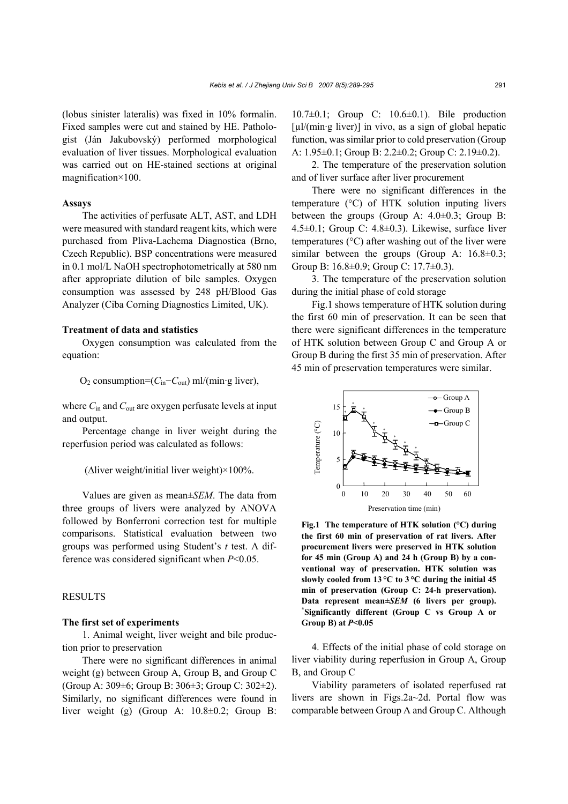(lobus sinister lateralis) was fixed in 10% formalin. Fixed samples were cut and stained by HE. Pathologist (Ján Jakubovský) performed morphological evaluation of liver tissues. Morphological evaluation was carried out on HE-stained sections at original magnification×100.

#### **Assays**

The activities of perfusate ALT, AST, and LDH were measured with standard reagent kits, which were purchased from Pliva-Lachema Diagnostica (Brno, Czech Republic). BSP concentrations were measured in 0.1 mol/L NaOH spectrophotometrically at 580 nm after appropriate dilution of bile samples. Oxygen consumption was assessed by 248 pH/Blood Gas Analyzer (Ciba Corning Diagnostics Limited, UK).

# **Treatment of data and statistics**

Oxygen consumption was calculated from the equation:

O2 consumption=(*C*in−*C*out) ml/(min·g liver),

where *C*in and *C*out are oxygen perfusate levels at input and output.

Percentage change in liver weight during the reperfusion period was calculated as follows:

(∆liver weight/initial liver weight)×100%.

Values are given as mean±*SEM*. The data from three groups of livers were analyzed by ANOVA followed by Bonferroni correction test for multiple comparisons. Statistical evaluation between two groups was performed using Student's *t* test. A difference was considered significant when *P*<0.05.

# RESULTS

# **The first set of experiments**

1. Animal weight, liver weight and bile production prior to preservation

There were no significant differences in animal weight (g) between Group A, Group B, and Group C (Group A: 309±6; Group B: 306±3; Group C: 302±2). Similarly, no significant differences were found in liver weight (g) (Group A: 10.8±0.2; Group B:

10.7±0.1; Group C: 10.6±0.1). Bile production  $\lceil \mu \cdot \ln \left( \min \cdot g \right) \rceil$  in vivo, as a sign of global hepatic function, was similar prior to cold preservation (Group A: 1.95±0.1; Group B: 2.2±0.2; Group C: 2.19±0.2).

2. The temperature of the preservation solution and of liver surface after liver procurement

There were no significant differences in the temperature (°C) of HTK solution inputing livers between the groups (Group A:  $4.0\pm0.3$ ; Group B: 4.5±0.1; Group C: 4.8±0.3). Likewise, surface liver temperatures (°C) after washing out of the liver were similar between the groups (Group A:  $16.8 \pm 0.3$ ; Group B: 16.8±0.9; Group C: 17.7±0.3).

3. The temperature of the preservation solution during the initial phase of cold storage

Fig.1 shows temperature of HTK solution during the first 60 min of preservation. It can be seen that there were significant differences in the temperature of HTK solution between Group C and Group A or Group B during the first 35 min of preservation. After 45 min of preservation temperatures were similar.



**Fig.1 The temperature of HTK solution (°C) during the first 60 min of preservation of rat livers. After procurement livers were preserved in HTK solution for 45 min (Group A) and 24 h (Group B) by a conventional way of preservation. HTK solution was slowly cooled from 13 °C to 3 °C during the initial 45 min of preservation (Group C: 24-h preservation). Data represent mean±***SEM* **(6 livers per group). \* Significantly different (Group C vs Group A or Group B) at** *P***<0.05**

4. Effects of the initial phase of cold storage on liver viability during reperfusion in Group A, Group B, and Group C

Viability parameters of isolated reperfused rat livers are shown in Figs.2a~2d. Portal flow was comparable between Group A and Group C. Although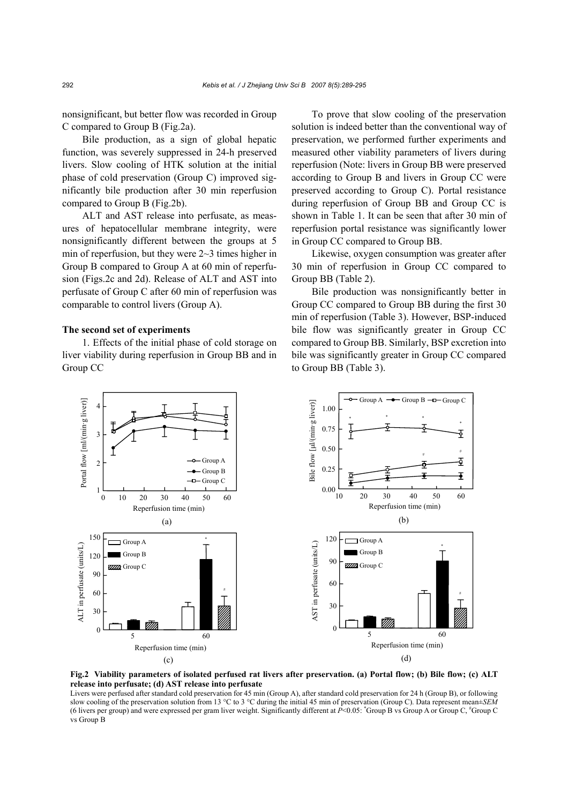nonsignificant, but better flow was recorded in Group C compared to Group B (Fig.2a).

Bile production, as a sign of global hepatic function, was severely suppressed in 24-h preserved livers. Slow cooling of HTK solution at the initial phase of cold preservation (Group C) improved significantly bile production after 30 min reperfusion compared to Group B (Fig.2b).

ALT and AST release into perfusate, as measures of hepatocellular membrane integrity, were nonsignificantly different between the groups at 5 min of reperfusion, but they were 2~3 times higher in Group B compared to Group A at 60 min of reperfusion (Figs.2c and 2d). Release of ALT and AST into perfusate of Group C after 60 min of reperfusion was comparable to control livers (Group A).

# **The second set of experiments**

1. Effects of the initial phase of cold storage on liver viability during reperfusion in Group BB and in Group CC

To prove that slow cooling of the preservation solution is indeed better than the conventional way of preservation, we performed further experiments and measured other viability parameters of livers during reperfusion (Note: livers in Group BB were preserved according to Group B and livers in Group CC were preserved according to Group C). Portal resistance during reperfusion of Group BB and Group CC is shown in Table 1. It can be seen that after 30 min of reperfusion portal resistance was significantly lower in Group CC compared to Group BB.

Likewise, oxygen consumption was greater after 30 min of reperfusion in Group CC compared to Group BB (Table 2).

Bile production was nonsignificantly better in Group CC compared to Group BB during the first 30 min of reperfusion (Table 3). However, BSP-induced bile flow was significantly greater in Group CC compared to Group BB. Similarly, BSP excretion into bile was significantly greater in Group CC compared to Group BB (Table 3).



**Fig.2 Viability parameters of isolated perfused rat livers after preservation. (a) Portal flow; (b) Bile flow; (c) ALT release into perfusate; (d) AST release into perfusate** 

Livers were perfused after standard cold preservation for 45 min (Group A), after standard cold preservation for 24 h (Group B), or following slow cooling of the preservation solution from 13 °C to 3 °C during the initial 45 min of preservation (Group C). Data represent mean±*SEM* (6 livers per group) and were expressed per gram liver weight. Significantly different at *P*<0.05: <sup>\*</sup>Group B vs Group A or Group C, <sup>\*</sup>Group C vs Group B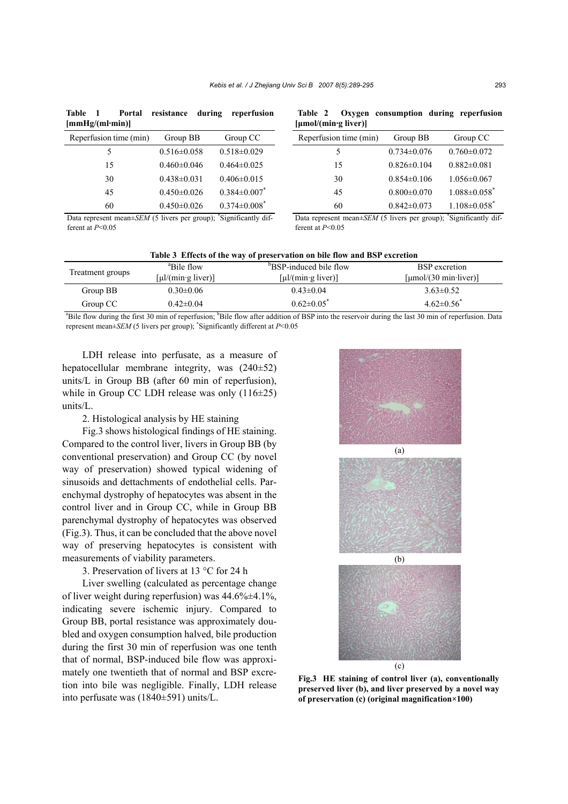| Table 1<br>[mmHg/(ml·min)] |                   | Portal resistance during reperfusion |
|----------------------------|-------------------|--------------------------------------|
| Reperfusion time (min)     | Group BB          | Group CC                             |
|                            | $0.516 \pm 0.058$ | $0.518 \pm 0.029$                    |

15 0.460±0.046 0.464±0.025 30 0.438±0.031 0.406±0.015 45 0.450±0.026 0.384±0.007\* 60 0.450±0.026 0.374±0.008\*

|  |                           | Table 2 Oxygen consumption during reperfusion |  |
|--|---------------------------|-----------------------------------------------|--|
|  | ${\mu}$ mol/(min·g liver) |                                               |  |

| Reperfusion time (min) | Group BB          | Group CC                                                 |
|------------------------|-------------------|----------------------------------------------------------|
| 5                      | $0.734\pm0.076$   | $0.760 \pm 0.072$                                        |
| 15                     | $0.826 \pm 0.104$ | $0.882\pm0.081$                                          |
| 30                     | $0.854\pm0.106$   | $1.056 \pm 0.067$                                        |
| 45                     | $0.800 \pm 0.070$ | $1.088 \pm 0.058$ <sup>*</sup>                           |
| 60                     | $0.842 \pm 0.073$ | $1.108 \pm 0.058$ <sup>*</sup>                           |
| $\sim$ $\sim$          |                   | $\cdot$<br>$\cdot$ $\sim$<br>$\sim$ $\sim$ $\sim$ $\sim$ |

Data represent mean±*SEM* (5 livers per group); 'Significantly different at *P*<0.05

Data represent mean±*SEM* (5 livers per group); 'Significantly different at *P*<0.05

| Table 3 Effects of the way of preservation on bile flow and BSP excretion                                                                                                   |                                                  |                                                  |                                   |  |  |
|-----------------------------------------------------------------------------------------------------------------------------------------------------------------------------|--------------------------------------------------|--------------------------------------------------|-----------------------------------|--|--|
| Treatment groups                                                                                                                                                            | <sup>a</sup> Bile flow                           | <sup>b</sup> BSP-induced bile flow               | <b>BSP</b> excretion              |  |  |
|                                                                                                                                                                             | $\lceil \mu \cdot \text{l/(min g liver)} \rceil$ | $\lceil \mu \cdot \text{l/(min g liver)} \rceil$ | [µmol/ $(30 \text{ min-liver})$ ] |  |  |
| Group BB                                                                                                                                                                    | $0.30 \pm 0.06$                                  | $0.43 \pm 0.04$                                  | $3.63 \pm 0.52$                   |  |  |
| Group CC                                                                                                                                                                    | $0.42 \pm 0.04$                                  | $0.62 \pm 0.05^*$                                | $4.62 \pm 0.56^*$                 |  |  |
| $\mathbb{R}^{11}$ . And during the Cart 20 min of an affection $\mathbb{R}^{11}$ . Ann of an addition of DOD into the accounts during the lead 20 min of an authority. Dete |                                                  |                                                  |                                   |  |  |

<sup>a</sup>Bile flow during the first 30 min of reperfusion; <sup>b</sup>Bile flow after addition of BSP into the reservoir during the last 30 min of reperfusion. Data represent mean±*SEM* (5 livers per group); \* Significantly different at *P*<0.05

LDH release into perfusate, as a measure of hepatocellular membrane integrity, was (240±52) units/L in Group BB (after 60 min of reperfusion), while in Group CC LDH release was only  $(116\pm25)$ units/L.

# 2. Histological analysis by HE staining

Fig.3 shows histological findings of HE staining. Compared to the control liver, livers in Group BB (by conventional preservation) and Group CC (by novel way of preservation) showed typical widening of sinusoids and dettachments of endothelial cells. Parenchymal dystrophy of hepatocytes was absent in the control liver and in Group CC, while in Group BB parenchymal dystrophy of hepatocytes was observed (Fig.3). Thus, it can be concluded that the above novel way of preserving hepatocytes is consistent with measurements of viability parameters.

3. Preservation of livers at 13 °C for 24 h

Liver swelling (calculated as percentage change of liver weight during reperfusion) was  $44.6\% \pm 4.1\%$ , indicating severe ischemic injury. Compared to Group BB, portal resistance was approximately doubled and oxygen consumption halved, bile production during the first 30 min of reperfusion was one tenth that of normal, BSP-induced bile flow was approximately one twentieth that of normal and BSP excretion into bile was negligible. Finally, LDH release into perfusate was (1840±591) units/L.



**Fig.3 HE staining of control liver (a), conventionally preserved liver (b), and liver preserved by a novel way of preservation (c) (original magnification×100)**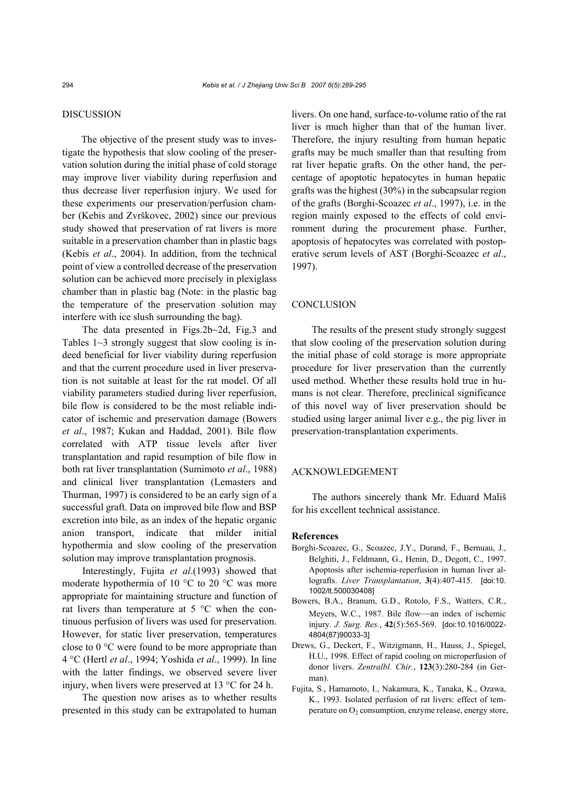# DISCUSSION

The objective of the present study was to investigate the hypothesis that slow cooling of the preservation solution during the initial phase of cold storage may improve liver viability during reperfusion and thus decrease liver reperfusion injury. We used for these experiments our preservation/perfusion chamber (Kebis and Zvrškovec, 2002) since our previous study showed that preservation of rat livers is more suitable in a preservation chamber than in plastic bags (Kebis *et al*., 2004). In addition, from the technical point of view a controlled decrease of the preservation solution can be achieved more precisely in plexiglass chamber than in plastic bag (Note: in the plastic bag the temperature of the preservation solution may interfere with ice slush surrounding the bag).

The data presented in Figs.2b~2d, Fig.3 and Tables  $1~3$  strongly suggest that slow cooling is indeed beneficial for liver viability during reperfusion and that the current procedure used in liver preservation is not suitable at least for the rat model. Of all viability parameters studied during liver reperfusion, bile flow is considered to be the most reliable indicator of ischemic and preservation damage (Bowers *et al*., 1987; Kukan and Haddad, 2001). Bile flow correlated with ATP tissue levels after liver transplantation and rapid resumption of bile flow in both rat liver transplantation (Sumimoto *et al*., 1988) and clinical liver transplantation (Lemasters and Thurman, 1997) is considered to be an early sign of a successful graft. Data on improved bile flow and BSP excretion into bile, as an index of the hepatic organic anion transport, indicate that milder initial hypothermia and slow cooling of the preservation solution may improve transplantation prognosis.

Interestingly, Fujita *et al*.(1993) showed that moderate hypothermia of 10 °C to 20 °C was more appropriate for maintaining structure and function of rat livers than temperature at 5 °C when the continuous perfusion of livers was used for preservation. However, for static liver preservation, temperatures close to 0 °C were found to be more appropriate than 4 °C (Hertl *et al*., 1994; Yoshida *et al*., 1999). In line with the latter findings, we observed severe liver injury, when livers were preserved at 13 °C for 24 h.

The question now arises as to whether results presented in this study can be extrapolated to human

livers. On one hand, surface-to-volume ratio of the rat liver is much higher than that of the human liver. Therefore, the injury resulting from human hepatic grafts may be much smaller than that resulting from rat liver hepatic grafts. On the other hand, the percentage of apoptotic hepatocytes in human hepatic grafts was the highest (30%) in the subcapsular region of the grafts (Borghi-Scoazec *et al*., 1997), i.e. in the region mainly exposed to the effects of cold environment during the procurement phase. Further, apoptosis of hepatocytes was correlated with postoperative serum levels of AST (Borghi-Scoazec *et al*., 1997).

# **CONCLUSION**

The results of the present study strongly suggest that slow cooling of the preservation solution during the initial phase of cold storage is more appropriate procedure for liver preservation than the currently used method. Whether these results hold true in humans is not clear. Therefore, preclinical significance of this novel way of liver preservation should be studied using larger animal liver e.g., the pig liver in preservation-transplantation experiments.

# ACKNOWLEDGEMENT

The authors sincerely thank Mr. Eduard Mališ for his excellent technical assistance.

#### **References**

- Borghi-Scoazec, G., Scoazec, J.Y., Durand, F., Bernuau, J., Belghiti, J., Feldmann, G., Henin, D., Degott, C., 1997. Apoptosis after ischemia-reperfusion in human liver allografts. *Liver Transplantation*, **3**(4):407-415. [doi:10. 1002/lt.500030408]
- Bowers, B.A., Branum, G.D., Rotolo, F.S., Watters, C.R., Meyers, W.C., 1987. Bile flow—an index of ischemic injury. *J. Surg. Res.*, **42**(5):565-569. [doi:10.1016/0022- 4804(87)90033-3]
- Drews, G., Deckert, F., Witzigmann, H., Hauss, J., Spiegel, H.U., 1998. Effect of rapid cooling on microperfusion of donor livers. *Zentralbl. Chir.*, **123**(3):280-284 (in German).
- Fujita, S., Hamamoto, I., Nakamura, K., Tanaka, K., Ozawa, K., 1993. Isolated perfusion of rat livers: effect of temperature on  $O_2$  consumption, enzyme release, energy store,